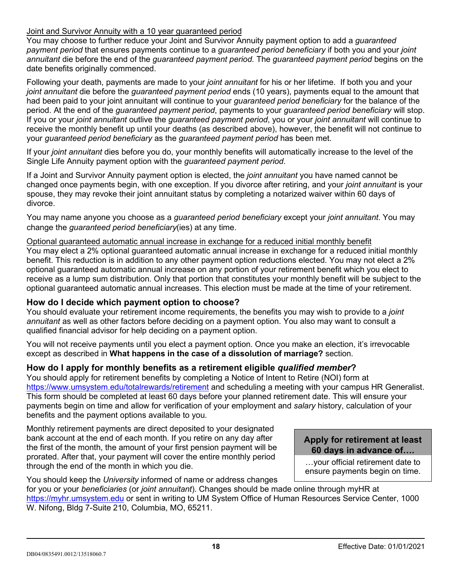# Joint and Survivor Annuity with a 10 year guaranteed period

You may choose to further reduce your Joint and Survivor Annuity payment option to add a *guaranteed payment period* that ensures payments continue to a *guaranteed period beneficiary* if both you and your *joint annuitant* die before the end of the *guaranteed payment period*. The *guaranteed payment period* begins on the date benefits originally commenced.

Following your death, payments are made to your *joint annuitant* for his or her lifetime. If both you and your *joint annuitant* die before the *guaranteed payment period* ends (10 years), payments equal to the amount that had been paid to your joint annuitant will continue to your *guaranteed period beneficiary* for the balance of the period. At the end of the *guaranteed payment period*, payments to your *guaranteed period beneficiary* will stop. If you or your *joint annuitant* outlive the *guaranteed payment period*, you or your *joint annuitant* will continue to receive the monthly benefit up until your deaths (as described above), however, the benefit will not continue to your *guaranteed period beneficiary* as the *guaranteed payment period* has been met.

If your *joint annuitant* dies before you do, your monthly benefits will automatically increase to the level of the Single Life Annuity payment option with the *guaranteed payment period*.

If a Joint and Survivor Annuity payment option is elected, the *joint annuitant* you have named cannot be changed once payments begin, with one exception. If you divorce after retiring, and your *joint annuitant* is your spouse, they may revoke their joint annuitant status by completing a notarized waiver within 60 days of divorce.

You may name anyone you choose as a *guaranteed period beneficiary* except your *joint annuitant*. You may change the *guaranteed period beneficiary*(ies) at any time.

Optional guaranteed automatic annual increase in exchange for a reduced initial monthly benefit You may elect a 2% optional guaranteed automatic annual increase in exchange for a reduced initial monthly benefit. This reduction is in addition to any other payment option reductions elected. You may not elect a 2% optional guaranteed automatic annual increase on any portion of your retirement benefit which you elect to receive as a lump sum distribution. Only that portion that constitutes your monthly benefit will be subject to the optional guaranteed automatic annual increases. This election must be made at the time of your retirement.

# **How do I decide which payment option to choose?**

You should evaluate your retirement income requirements, the benefits you may wish to provide to a *joint annuitant* as well as other factors before deciding on a payment option. You also may want to consult a qualified financial advisor for help deciding on a payment option.

You will not receive payments until you elect a payment option. Once you make an election, it's irrevocable except as described in **What happens in the case of a dissolution of marriage?** section.

# **How do I apply for monthly benefits as a retirement eligible** *qualified member***?**

You should apply for retirement benefits by completing a Notice of Intent to Retire (NOI) form at <https://www.umsystem.edu/totalrewards/retirement> and scheduling a meeting with your campus HR Generalist. This form should be completed at least 60 days before your planned retirement date. This will ensure your payments begin on time and allow for verification of your employment and *salary* history, calculation of your benefits and the payment options available to you.

Monthly retirement payments are direct deposited to your designated bank account at the end of each month. If you retire on any day after the first of the month, the amount of your first pension payment will be prorated. After that, your payment will cover the entire monthly period through the end of the month in which you die.

You should keep the *University* informed of name or address changes

for you or your *beneficiaries* (or *joint annuitant*). Changes should be made online through myHR at [https://myhr.umsystem.edu](https://myhr.umsystem.edu/psp/prd) or sent in writing to UM System Office of Human Resources Service Center, 1105 Carrie Francke Dr Ste 108, Columbia, MO, 65211.

#### **Apply for retirement at least 60 days in advance of….**

…your official retirement date to ensure payments begin on time.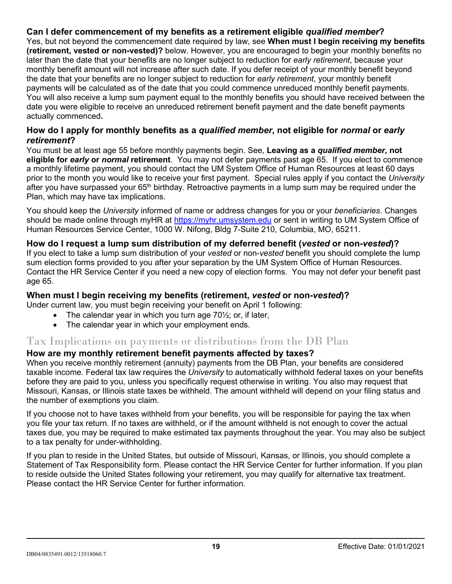# **Can I defer commencement of my benefits as a retirement eligible** *qualified member***?**

Yes, but not beyond the commencement date required by law, see **When must I begin receiving my benefits (retirement, vested or non-vested)?** below. However, you are encouraged to begin your monthly benefits no later than the date that your benefits are no longer subject to reduction for *early retirement*, because your monthly benefit amount will not increase after such date. If you defer receipt of your monthly benefit beyond the date that your benefits are no longer subject to reduction for *early retirement*, your monthly benefit payments will be calculated as of the date that you could commence unreduced monthly benefit payments. You will also receive a lump sum payment equal to the monthly benefits you should have received between the date you were eligible to receive an unreduced retirement benefit payment and the date benefit payments actually commenced**.**

# **How do I apply for monthly benefits as a** *qualified member***, not eligible for** *normal* **or** *early retirement***?**

You must be at least age 55 before monthly payments begin. See, **Leaving as a** *qualified member***, not eligible for** *early* **or** *normal* **retirement**. You may not defer payments past age 65. If you elect to commence a monthly lifetime payment, you should contact the UM System Office of Human Resources at least 60 days prior to the month you would like to receive your first payment. Special rules apply if you contact the *University* after you have surpassed your 65<sup>th</sup> birthday. Retroactive payments in a lump sum may be required under the Plan, which may have tax implications.

You should keep the *University* informed of name or address changes for you or your *beneficiaries*. Changes should be made online through myHR a[t https://myhr.umsystem.edu](https://myhr.umsystem.edu/psp/prd) or sent in writing to UM System Office of Human Resources Service Center, 1105 Carrie Francke Dr Ste 108, Columbia, MO, 65211.

# **How do I request a lump sum distribution of my deferred benefit (***vested* **or non-***vested***)?**

If you elect to take a lump sum distribution of your *vested* or non-*vested* benefit you should complete the lump sum election forms provided to you after your separation by the UM System Office of Human Resources. Contact the HR Service Center if you need a new copy of election forms. You may not defer your benefit past age 65.

# **When must I begin receiving my benefits (retirement,** *vested* **or non-***vested***)?**

Under current law, you must begin receiving your benefit on April 1 following:

- The calendar year in which you turn age  $70\frac{1}{2}$ ; or, if later,
- The calendar year in which your employment ends.

# Tax Implications on payments or distributions from the DB Plan

# **How are my monthly retirement benefit payments affected by taxes?**

When you receive monthly retirement (annuity) payments from the DB Plan, your benefits are considered taxable income. Federal tax law requires the *University* to automatically withhold federal taxes on your benefits before they are paid to you, unless you specifically request otherwise in writing. You also may request that Missouri, Kansas, or Illinois state taxes be withheld. The amount withheld will depend on your filing status and the number of exemptions you claim.

If you choose not to have taxes withheld from your benefits, you will be responsible for paying the tax when you file your tax return. If no taxes are withheld, or if the amount withheld is not enough to cover the actual taxes due, you may be required to make estimated tax payments throughout the year. You may also be subject to a tax penalty for under-withholding.

If you plan to reside in the United States, but outside of Missouri, Kansas, or Illinois, you should complete a Statement of Tax Responsibility form. Please contact the HR Service Center for further information. If you plan to reside outside the United States following your retirement, you may qualify for alternative tax treatment. Please contact the HR Service Center for further information.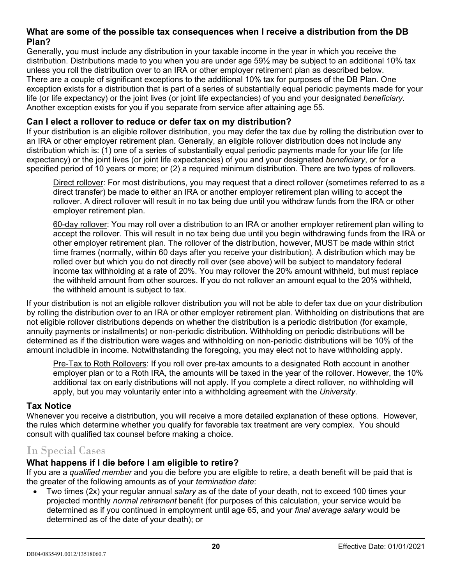# **What are some of the possible tax consequences when I receive a distribution from the DB Plan?**

Generally, you must include any distribution in your taxable income in the year in which you receive the distribution. Distributions made to you when you are under age 59½ may be subject to an additional 10% tax unless you roll the distribution over to an IRA or other employer retirement plan as described below. There are a couple of significant exceptions to the additional 10% tax for purposes of the DB Plan. One exception exists for a distribution that is part of a series of substantially equal periodic payments made for your life (or life expectancy) or the joint lives (or joint life expectancies) of you and your designated *beneficiary*. Another exception exists for you if you separate from service after attaining age 55.

# **Can I elect a rollover to reduce or defer tax on my distribution?**

If your distribution is an eligible rollover distribution, you may defer the tax due by rolling the distribution over to an IRA or other employer retirement plan. Generally, an eligible rollover distribution does not include any distribution which is: (1) one of a series of substantially equal periodic payments made for your life (or life expectancy) or the joint lives (or joint life expectancies) of you and your designated *beneficiary*, or for a specified period of 10 years or more; or (2) a required minimum distribution. There are two types of rollovers.

Direct rollover: For most distributions, you may request that a direct rollover (sometimes referred to as a direct transfer) be made to either an IRA or another employer retirement plan willing to accept the rollover. A direct rollover will result in no tax being due until you withdraw funds from the IRA or other employer retirement plan.

60-day rollover: You may roll over a distribution to an IRA or another employer retirement plan willing to accept the rollover. This will result in no tax being due until you begin withdrawing funds from the IRA or other employer retirement plan. The rollover of the distribution, however, MUST be made within strict time frames (normally, within 60 days after you receive your distribution). A distribution which may be rolled over but which you do not directly roll over (see above) will be subject to mandatory federal income tax withholding at a rate of 20%. You may rollover the 20% amount withheld, but must replace the withheld amount from other sources. If you do not rollover an amount equal to the 20% withheld, the withheld amount is subject to tax.

If your distribution is not an eligible rollover distribution you will not be able to defer tax due on your distribution by rolling the distribution over to an IRA or other employer retirement plan. Withholding on distributions that are not eligible rollover distributions depends on whether the distribution is a periodic distribution (for example, annuity payments or installments) or non-periodic distribution. Withholding on periodic distributions will be determined as if the distribution were wages and withholding on non-periodic distributions will be 10% of the amount includible in income. Notwithstanding the foregoing, you may elect not to have withholding apply.

Pre-Tax to Roth Rollovers: If you roll over pre-tax amounts to a designated Roth account in another employer plan or to a Roth IRA, the amounts will be taxed in the year of the rollover. However, the 10% additional tax on early distributions will not apply. If you complete a direct rollover, no withholding will apply, but you may voluntarily enter into a withholding agreement with the *University*.

# **Tax Notice**

Whenever you receive a distribution, you will receive a more detailed explanation of these options. However, the rules which determine whether you qualify for favorable tax treatment are very complex. You should consult with qualified tax counsel before making a choice.

# In Special Cases

# **What happens if I die before I am eligible to retire?**

If you are a *qualified member* and you die before you are eligible to retire, a death benefit will be paid that is the greater of the following amounts as of your *termination date*:

• Two times (2x) your regular annual *salary* as of the date of your death, not to exceed 100 times your projected monthly *normal retirement* benefit (for purposes of this calculation, your service would be determined as if you continued in employment until age 65, and your *final average salary* would be determined as of the date of your death); or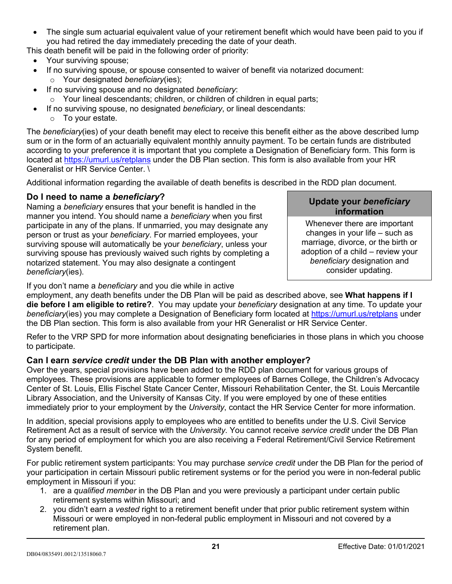The single sum actuarial equivalent value of your retirement benefit which would have been paid to you if you had retired the day immediately preceding the date of your death.

This death benefit will be paid in the following order of priority:

- Your surviving spouse;
- If no surviving spouse, or spouse consented to waiver of benefit via notarized document: o Your designated *beneficiary*(ies);
- If no surviving spouse and no designated *beneficiary*:
	- o Your lineal descendants; children, or children of children in equal parts;
- If no surviving spouse, no designated *beneficiary*, or lineal descendants:
	- o To your estate.

The *beneficiary*(ies) of your death benefit may elect to receive this benefit either as the above described lump sum or in the form of an actuarially equivalent monthly annuity payment. To be certain funds are distributed according to your preference it is important that you complete a Designation of Beneficiary form. This form is located at<https://umurl.us/retplans> under the DB Plan section. This form is also available from your HR Generalist or HR Service Center. \

Additional information regarding the available of death benefits is described in the RDD plan document.

# **Do I need to name a** *beneficiary***?**

Naming a *beneficiary* ensures that your benefit is handled in the manner you intend. You should name a *beneficiary* when you first participate in any of the plans. If unmarried, you may designate any person or trust as your *beneficiary*. For married employees, your surviving spouse will automatically be your *beneficiary*, unless your surviving spouse has previously waived such rights by completing a notarized statement. You may also designate a contingent *beneficiary*(ies).

#### **Update your** *beneficiary* **information**

Whenever there are important changes in your life – such as marriage, divorce, or the birth or adoption of a child – review your *beneficiary* designation and consider updating.

If you don't name a *beneficiary* and you die while in active

employment, any death benefits under the DB Plan will be paid as described above, see **What happens if I die before I am eligible to retire?**. You may update your *beneficiary* designation at any time. To update your *beneficiary*(ies) you may complete a Designation of Beneficiary form located at<https://umurl.us/retplans> under the DB Plan section. This form is also available from your HR Generalist or HR Service Center.

Refer to the VRP SPD for more information about designating beneficiaries in those plans in which you choose to participate.

# **Can I earn** *service credit* **under the DB Plan with another employer?**

Over the years, special provisions have been added to the RDD plan document for various groups of employees. These provisions are applicable to former employees of Barnes College, the Children's Advocacy Center of St. Louis, Ellis Fischel State Cancer Center, Missouri Rehabilitation Center, the St. Louis Mercantile Library Association, and the University of Kansas City. If you were employed by one of these entities immediately prior to your employment by the *University*, contact the HR Service Center for more information.

In addition, special provisions apply to employees who are entitled to benefits under the U.S. Civil Service Retirement Act as a result of service with the *University*. You cannot receive *service credit* under the DB Plan for any period of employment for which you are also receiving a Federal Retirement/Civil Service Retirement System benefit.

For public retirement system participants: You may purchase *service credit* under the DB Plan for the period of your participation in certain Missouri public retirement systems or for the period you were in non-federal public employment in Missouri if you:

- 1. are a *qualified member* in the DB Plan and you were previously a participant under certain public retirement systems within Missouri; and
- 2. you didn't earn a *vested* right to a retirement benefit under that prior public retirement system within Missouri or were employed in non-federal public employment in Missouri and not covered by a retirement plan.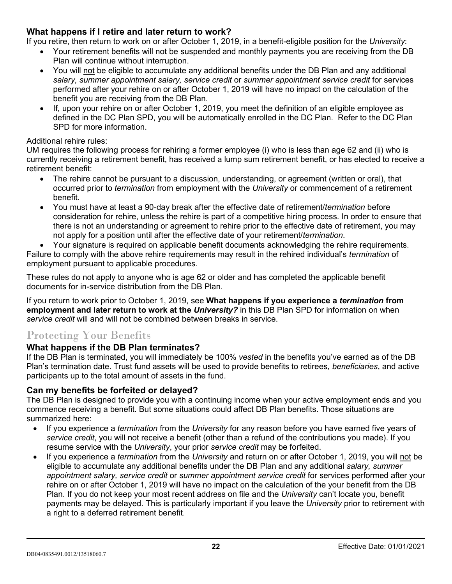# **What happens if I retire and later return to work?**

If you retire, then return to work on or after October 1, 2019, in a benefit-eligible position for the *University*:

- Your retirement benefits will not be suspended and monthly payments you are receiving from the DB Plan will continue without interruption.
- You will not be eligible to accumulate any additional benefits under the DB Plan and any additional *salary, summer appointment salary, service credit* or *summer appointment service credit* for services performed after your rehire on or after October 1, 2019 will have no impact on the calculation of the benefit you are receiving from the DB Plan.
- If, upon your rehire on or after October 1, 2019, you meet the definition of an eligible employee as defined in the DC Plan SPD, you will be automatically enrolled in the DC Plan. Refer to the DC Plan SPD for more information.

#### Additional rehire rules:

UM requires the following process for rehiring a former employee (i) who is less than age 62 and (ii) who is currently receiving a retirement benefit, has received a lump sum retirement benefit, or has elected to receive a retirement benefit:

- The rehire cannot be pursuant to a discussion, understanding, or agreement (written or oral), that occurred prior to *termination* from employment with the *University* or commencement of a retirement benefit.
- You must have at least a 90-day break after the effective date of retirement/*termination* before consideration for rehire, unless the rehire is part of a competitive hiring process*.* In order to ensure that there is not an understanding or agreement to rehire prior to the effective date of retirement, you may not apply for a position until after the effective date of your retirement/*termination*.

• Your signature is required on applicable benefit documents acknowledging the rehire requirements. Failure to comply with the above rehire requirements may result in the rehired individual's *termination* of employment pursuant to applicable procedures.

These rules do not apply to anyone who is age 62 or older and has completed the applicable benefit documents for in-service distribution from the DB Plan.

If you return to work prior to October 1, 2019, see **What happens if you experience a** *termination* **from employment and later return to work at the** *University?* in this DB Plan SPD for information on when *service credit* will and will not be combined between breaks in service.

# Protecting Your Benefits

# **What happens if the DB Plan terminates?**

If the DB Plan is terminated, you will immediately be 100% *vested* in the benefits you've earned as of the DB Plan's termination date. Trust fund assets will be used to provide benefits to retirees, *beneficiaries*, and active participants up to the total amount of assets in the fund.

# **Can my benefits be forfeited or delayed?**

The DB Plan is designed to provide you with a continuing income when your active employment ends and you commence receiving a benefit. But some situations could affect DB Plan benefits. Those situations are summarized here:

- If you experience a *termination* from the *University* for any reason before you have earned five years of *service credit*, you will not receive a benefit (other than a refund of the contributions you made). If you resume service with the *University*, your prior *service credit* may be forfeited.
- If you experience a *termination* from the *University* and return on or after October 1, 2019, you will not be eligible to accumulate any additional benefits under the DB Plan and any additional *salary, summer appointment salary, service credit* or *summer appointment service credit* for services performed after your rehire on or after October 1, 2019 will have no impact on the calculation of the your benefit from the DB Plan. If you do not keep your most recent address on file and the *University* can't locate you, benefit payments may be delayed. This is particularly important if you leave the *University* prior to retirement with a right to a deferred retirement benefit.